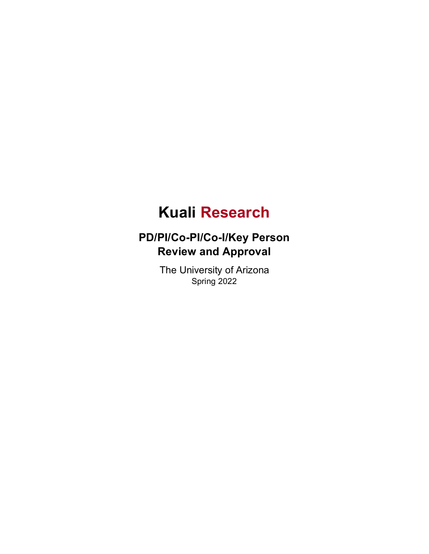# **Kuali Research**

## **PD/PI/Co-PI/Co-I/Key Person Review and Approval**

The University of Arizona Spring 2022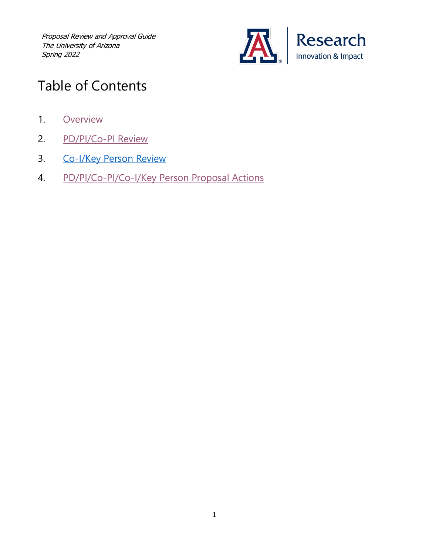

# Table of Contents

- 1. [Overview](#page-2-0)
- 2. [PD/PI/Co-PI Review](#page-2-1)
- 3. [Co-I/Key Person Review](#page-5-0)
- 4. [PD/PI/Co-PI/Co-I/Key Person Proposal Actions](#page-8-0)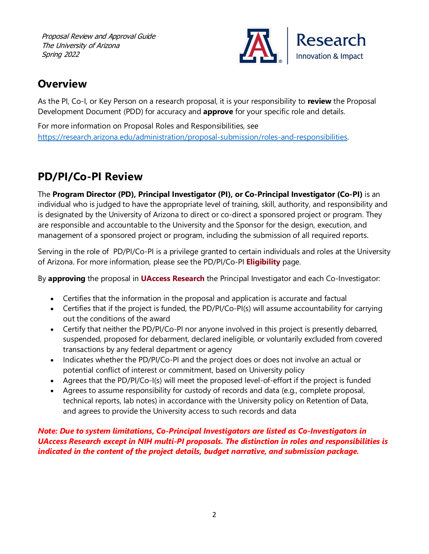

### <span id="page-2-0"></span>**Overview**

As the PI, Co-I, or Key Person on a research proposal, it is your responsibility to **review** the Proposal Development Document (PDD) for accuracy and **approve** for your specific role and details.

For more information on Proposal Roles and Responsibilities, see [https://research.arizona.edu/administration/proposal-submission/roles-and-responsibilities.](https://research.arizona.edu/administration/proposal-submission/roles-and-responsibilities) 

## <span id="page-2-1"></span>**PD/PI/Co-PI Review**

The **Program Director (PD), Principal Investigator (PI), or Co-Principal Investigator (Co-PI)** is an individual who is judged to have the appropriate level of training, skill, authority, and responsibility and is designated by the University of Arizona to direct or co-direct a sponsored project or program. They are responsible and accountable to the University and the Sponsor for the design, execution, and management of a sponsored project or program, including the submission of all required reports.

Serving in the role of PD/PI/Co-PI is a privilege granted to certain individuals and roles at the University of Arizona. For more information, please see the PD/PI/Co-PI **[Eligibility](https://research.arizona.edu/administration/getting-started/principal-investigator-project-director-co-principal)** page.

By **approving** the proposal in **[UAccess Research](https://research.arizona.edu/administration/uaccess-research)** the Principal Investigator and each Co-Investigator:

- Certifies that the information in the proposal and application is accurate and factual
- Certifies that if the project is funded, the PD/PI/Co-PI(s) will assume accountability for carrying out the conditions of the award
- Certify that neither the PD/PI/Co-PI nor anyone involved in this project is presently debarred, suspended, proposed for debarment, declared ineligible, or voluntarily excluded from covered transactions by any federal department or agency
- Indicates whether the PD/PI/Co-PI and the project does or does not involve an actual or potential conflict of interest or commitment, based on University policy
- Agrees that the PD/PI/Co-I(s) will meet the proposed level-of-effort if the project is funded
- Agrees to assume responsibility for custody of records and data (e.g., complete proposal, technical reports, lab notes) in accordance with the University policy on Retention of Data, and agrees to provide the University access to such records and data

*Note: Due to system limitations, Co-Principal Investigators are listed as Co-Investigators in UAccess Research except in NIH multi-PI proposals. The distinction in roles and responsibilities is indicated in the content of the project details, budget narrative, and submission package.*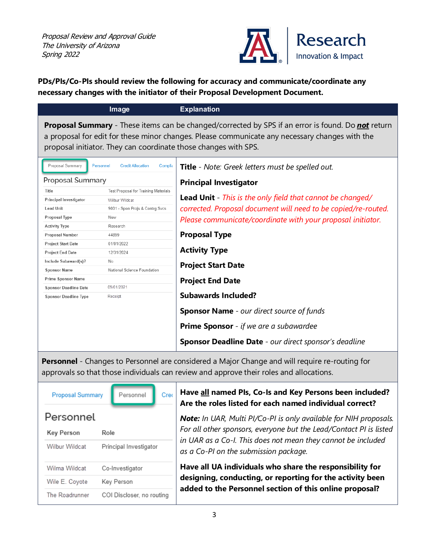

#### **PDs/PIs/Co-PIs should review the following for accuracy and communicate/coordinate any necessary changes with the initiator of their Proposal Development Document.**

|                                                                                                                                                                                                                                                                                       | Image                                            | <b>Explanation</b>                                                |  |  |  |  |  |
|---------------------------------------------------------------------------------------------------------------------------------------------------------------------------------------------------------------------------------------------------------------------------------------|--------------------------------------------------|-------------------------------------------------------------------|--|--|--|--|--|
| <b>Proposal Summary</b> - These items can be changed/corrected by SPS if an error is found. Do <b>not</b> return<br>a proposal for edit for these minor changes. Please communicate any necessary changes with the<br>proposal initiator. They can coordinate those changes with SPS. |                                                  |                                                                   |  |  |  |  |  |
| Proposal Summary                                                                                                                                                                                                                                                                      | Personnel<br><b>Credit Allocation</b><br>Complia | Title - Note: Greek letters must be spelled out.                  |  |  |  |  |  |
| Proposal Summary                                                                                                                                                                                                                                                                      |                                                  | <b>Principal Investigator</b>                                     |  |  |  |  |  |
| Title                                                                                                                                                                                                                                                                                 | Test Proposal for Training Materials             |                                                                   |  |  |  |  |  |
| Principal Investigator                                                                                                                                                                                                                                                                | <b>Wilbur Wildcat</b>                            | <b>Lead Unit</b> - This is the only field that cannot be changed/ |  |  |  |  |  |
| <b>Lead Unit</b>                                                                                                                                                                                                                                                                      | 9001 - Spon Projs & Contrg Svcs                  | corrected. Proposal document will need to be copied/re-routed.    |  |  |  |  |  |
| Proposal Type                                                                                                                                                                                                                                                                         | New                                              | Please communicate/coordinate with your proposal initiator.       |  |  |  |  |  |
| <b>Activity Type</b>                                                                                                                                                                                                                                                                  | Research                                         |                                                                   |  |  |  |  |  |
| Proposal Number                                                                                                                                                                                                                                                                       | 44899                                            | <b>Proposal Type</b>                                              |  |  |  |  |  |
| <b>Project Start Date</b>                                                                                                                                                                                                                                                             | 01/01/2022                                       |                                                                   |  |  |  |  |  |
| Project End Date                                                                                                                                                                                                                                                                      | 12/31/2024                                       | <b>Activity Type</b>                                              |  |  |  |  |  |
| Include Subaward(s)?                                                                                                                                                                                                                                                                  | No                                               | <b>Project Start Date</b>                                         |  |  |  |  |  |
| <b>Sponsor Name</b>                                                                                                                                                                                                                                                                   | National Science Foundation                      |                                                                   |  |  |  |  |  |
| Prime Sponsor Name                                                                                                                                                                                                                                                                    |                                                  | <b>Project End Date</b>                                           |  |  |  |  |  |
| <b>Sponsor Deadline Date</b>                                                                                                                                                                                                                                                          | 09/01/2021                                       |                                                                   |  |  |  |  |  |
| <b>Sponsor Deadline Type</b>                                                                                                                                                                                                                                                          | Receipt                                          | <b>Subawards Included?</b>                                        |  |  |  |  |  |
|                                                                                                                                                                                                                                                                                       |                                                  | <b>Sponsor Name</b> - our direct source of funds                  |  |  |  |  |  |
|                                                                                                                                                                                                                                                                                       |                                                  | <b>Prime Sponsor</b> - if we are a subawardee                     |  |  |  |  |  |
|                                                                                                                                                                                                                                                                                       |                                                  | <b>Sponsor Deadline Date</b> - our direct sponsor's deadline      |  |  |  |  |  |

**Personnel** - Changes to Personnel are considered a Major Change and will require re-routing for approvals so that those individuals can review and approve their roles and allocations.

| <b>Proposal Summary</b> | Personnel                 | Cre( |
|-------------------------|---------------------------|------|
| Personnel               |                           |      |
| Key Person              | Role                      |      |
| Wilbur Wildcat          | Principal Investigator    |      |
| Wilma Wildcat           | Co-Investigator           |      |
| Wile E. Coyote          | Key Person                |      |
| The Roadrunner          | COI Discloser, no routing |      |

#### **Have all named PIs, Co-Is and Key Persons been included? Are the roles listed for each named individual correct?**

*Note: In UAR, Multi PI/Co-PI is only available for NIH proposals. For all other sponsors, everyone but the Lead/Contact PI is listed in UAR as a Co-I. This does not mean they cannot be included as a Co-PI on the submission package.* 

**Have all UA individuals who share the responsibility for designing, conducting, or reporting for the activity been added to the Personnel section of this online proposal?**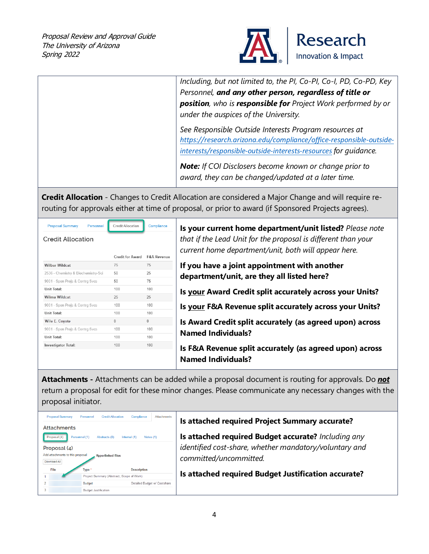

|                                                                  |                                              |                                      | Including, but not limited to, the PI, Co-PI, Co-I, PD, Co-PD, Key<br>Personnel, and any other person, regardless of title or<br><b>position</b> , who is <b>responsible for</b> Project Work performed by or<br>under the auspices of the University. |
|------------------------------------------------------------------|----------------------------------------------|--------------------------------------|--------------------------------------------------------------------------------------------------------------------------------------------------------------------------------------------------------------------------------------------------------|
|                                                                  |                                              |                                      | See Responsible Outside Interests Program resources at<br>https://research.arizona.edu/compliance/office-responsible-outside-<br>interests/responsible-outside-interests-resources for quidance.                                                       |
|                                                                  |                                              |                                      | <b>Note:</b> If COI Disclosers become known or change prior to<br>award, they can be changed/updated at a later time.                                                                                                                                  |
|                                                                  |                                              |                                      | <b>Credit Allocation</b> - Changes to Credit Allocation are considered a Major Change and will require re-<br>routing for approvals either at time of proposal, or prior to award (if Sponsored Projects agrees).                                      |
| <b>Proposal Summary</b><br>Personnel<br><b>Credit Allocation</b> | Credit Allocation<br><b>Credit for Award</b> | Compliance<br><b>F&amp;A Revenue</b> | Is your current home department/unit listed? Please note<br>that if the Lead Unit for the proposal is different than your<br>current home department/unit, both will appear here.                                                                      |
| <b>Wilbur Wildcat</b>                                            | 75                                           | 75                                   | If you have a joint appointment with another                                                                                                                                                                                                           |
| 2536 - Chemistry & Biochemistry-Sci                              | 50                                           | 25                                   |                                                                                                                                                                                                                                                        |
| 9001 - Spon Projs & Contrg Svcs                                  | 50                                           | 75                                   | department/unit, are they all listed here?                                                                                                                                                                                                             |
| Unit Total:                                                      | 100                                          | 100                                  |                                                                                                                                                                                                                                                        |
| Wilma Wildcat                                                    | 25                                           | 25                                   | Is your Award Credit split accurately across your Units?                                                                                                                                                                                               |
| 9001 - Spon Projs & Contrg Svcs                                  | 100                                          | 100                                  | Is your F&A Revenue split accurately across your Units?                                                                                                                                                                                                |
| Unit Total:                                                      | 100                                          | 100                                  |                                                                                                                                                                                                                                                        |
| Wile E. Coyote                                                   | $\mathbf{0}$                                 | $\mathbf 0$                          | Is Award Credit split accurately (as agreed upon) across                                                                                                                                                                                               |
| 9001 - Spon Projs & Contrg Svcs                                  | 100                                          | 100                                  |                                                                                                                                                                                                                                                        |
| Unit Total:                                                      |                                              |                                      | <b>Named Individuals?</b>                                                                                                                                                                                                                              |
| Investigator Total:                                              | 100                                          | 100                                  |                                                                                                                                                                                                                                                        |

**Attachments -** Attachments can be added while a proposal document is routing for approvals. Do *not* return a proposal for edit for these minor changes. Please communicate any necessary changes with the proposal initiator.

| <b>Proposal Summary</b><br><b>Credit Allocation</b><br><b>Attachments</b><br>Personnel<br>Compliance<br><b>Attachments</b> | Is attached required Project Summary accurate?                                                                |
|----------------------------------------------------------------------------------------------------------------------------|---------------------------------------------------------------------------------------------------------------|
| Proposal (4)<br>Personnel (1)<br>Abstracts (0)<br>Internal $(1)$<br>Notes $(1)$<br>Proposal (4)                            | Is attached required Budget accurate? Including any<br>identified cost-share, whether mandatory/voluntary and |
| Add attachments to this proposal<br><b>Hyperlinked files</b><br>Download All                                               | committed/uncommitted.                                                                                        |
| File<br>Type *<br><b>Description</b>                                                                                       |                                                                                                               |
| Project Summary (Abstract, Scope of Work)                                                                                  | Is attached required Budget Justification accurate?                                                           |
| Detailed Budget w/ Costshare<br><b>Budget</b>                                                                              |                                                                                                               |
| Budget Justification                                                                                                       |                                                                                                               |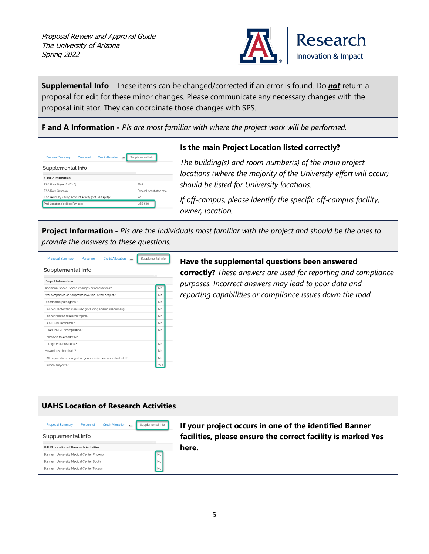

**Supplemental Info** - These items can be changed/corrected if an error is found. Do *not* return a proposal for edit for these minor changes. Please communicate any necessary changes with the proposal initiator. They can coordinate those changes with SPS.

**F and A Information -** *PIs are most familiar with where the project work will be performed.*

| <b>Proposal Summary</b>                                 | Personnel               | <b>Credit Allocation</b> | <br>Supplemental Info |  |
|---------------------------------------------------------|-------------------------|--------------------------|-----------------------|--|
| Supplemental Info                                       |                         |                          |                       |  |
| <b>F</b> and A Information                              |                         |                          |                       |  |
| F&A Rate % (ex: 53/53.5)                                |                         |                          | 53.5                  |  |
| F&A Rate Category                                       | Federal negotiated rate |                          |                       |  |
| F&A return by sibling account activity (not F&A split)? |                         |                          | No                    |  |
| Proj Location (ex:Bldg-Rm-etc)                          |                         |                          | <b>USB 510</b>        |  |

#### **Is the main Project Location listed correctly?**

*The building(s) and room number(s) of the main project locations (where the majority of the University effort will occur) should be listed for University locations.* 

*If off-campus, please identify the specific off-campus facility, owner, location.*

**Project Information -** *PIs are the individuals most familiar with the project and should be the ones to provide the answers to these questions.*

| <b>Proposal Summary</b>                                     | Personnel | <b>Credit Allocation</b> | Supplemental Info |  |
|-------------------------------------------------------------|-----------|--------------------------|-------------------|--|
| Supplemental Info                                           |           |                          |                   |  |
| <b>Project Information</b>                                  |           |                          |                   |  |
| Additional space, space changes or renovations?             |           |                          | No                |  |
| Are companies or nonprofits involved in the project?        |           |                          | No                |  |
| Bloodborne pathogens?                                       |           |                          | No                |  |
| Cancer Center facilities used (including shared resources)? |           |                          | No                |  |
| Cancer related research topics?                             |           |                          | No                |  |
| COVID-19 Research?                                          |           |                          | No                |  |
| FDA/EPA GLP compliance?                                     |           |                          | No                |  |
| Follow-on to Account No                                     |           |                          |                   |  |
| Foreign collaborations?                                     |           |                          | No                |  |
| Hazardous chemicals?                                        |           |                          | No                |  |
| HSI required/encouraged or goals involve minority students? |           |                          | No                |  |
| Human subjects?                                             |           |                          |                   |  |
|                                                             |           |                          |                   |  |
|                                                             |           |                          |                   |  |
|                                                             |           |                          |                   |  |

#### **Have the supplemental questions been answered**

**correctly?** *These answers are used for reporting and compliance purposes. Incorrect answers may lead to poor data and reporting capabilities or compliance issues down the road.* 

#### **UAHS Location of Research Activities**

<span id="page-5-0"></span>

| <b>Proposal Summary</b>                     | Personnel | <b>Credit Allocation</b> | $\cdots$ | Supplemental Info |
|---------------------------------------------|-----------|--------------------------|----------|-------------------|
| Supplemental Info                           |           |                          |          |                   |
| <b>UAHS Location of Research Activities</b> |           |                          |          |                   |
| Banner - University Medical Center Phoenix  |           |                          |          | No                |
| Banner - University Medical Center South    |           |                          |          | Nο                |
| Banner - University Medical Center Tucson   |           |                          |          |                   |

**If your project occurs in one of the identified Banner facilities, please ensure the correct facility is marked Yes here.**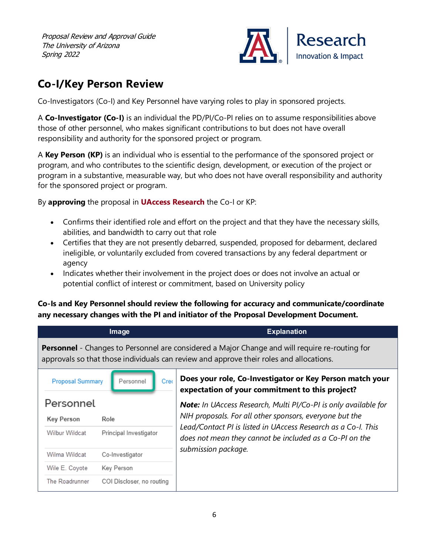

### **Co-I/Key Person Review**

Co-Investigators (Co-I) and Key Personnel have varying roles to play in sponsored projects.

A **Co-Investigator (Co-I)** is an individual the PD/PI/Co-PI relies on to assume responsibilities above those of other personnel, who makes significant contributions to but does not have overall responsibility and authority for the sponsored project or program.

A **Key Person (KP)** is an individual who is essential to the performance of the sponsored project or program, and who contributes to the scientific design, development, or execution of the project or program in a substantive, measurable way, but who does not have overall responsibility and authority for the sponsored project or program.

By **approving** the proposal in **[UAccess Research](https://research.arizona.edu/administration/uaccess-research)** the Co-I or KP:

- Confirms their identified role and effort on the project and that they have the necessary skills, abilities, and bandwidth to carry out that role
- Certifies that they are not presently debarred, suspended, proposed for debarment, declared ineligible, or voluntarily excluded from covered transactions by any federal department or agency
- Indicates whether their involvement in the project does or does not involve an actual or potential conflict of interest or commitment, based on University policy

#### **Co-Is and Key Personnel should review the following for accuracy and communicate/coordinate any necessary changes with the PI and initiator of the Proposal Development Document.**

|                         | Image                     | <b>Explanation</b>                                                                                                                                                                               |
|-------------------------|---------------------------|--------------------------------------------------------------------------------------------------------------------------------------------------------------------------------------------------|
|                         |                           | <b>Personnel</b> - Changes to Personnel are considered a Major Change and will require re-routing for<br>approvals so that those individuals can review and approve their roles and allocations. |
| <b>Proposal Summary</b> | Personnel<br>Creo         | Does your role, Co-Investigator or Key Person match your<br>expectation of your commitment to this project?                                                                                      |
| Personnel               |                           | <b>Note:</b> In UAccess Research, Multi PI/Co-PI is only available for                                                                                                                           |
| <b>Key Person</b>       | Role                      | NIH proposals. For all other sponsors, everyone but the                                                                                                                                          |
| <b>Wilbur Wildcat</b>   | Principal Investigator    | Lead/Contact PI is listed in UAccess Research as a Co-I. This<br>does not mean they cannot be included as a Co-PI on the                                                                         |
| Wilma Wildcat           | Co-Investigator           | submission package.                                                                                                                                                                              |
| Wile E. Coyote          | Key Person                |                                                                                                                                                                                                  |
| The Roadrunner          | COI Discloser, no routing |                                                                                                                                                                                                  |
|                         |                           |                                                                                                                                                                                                  |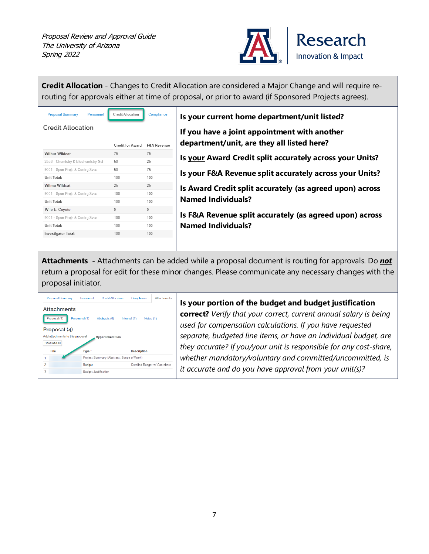

| Credit for Award<br><b>F&amp;A Revenue</b><br>75 |
|--------------------------------------------------|
|                                                  |
|                                                  |
|                                                  |
| 25                                               |
| 75                                               |
| 100                                              |
| 25                                               |
| 100                                              |
| 100                                              |
| $\Omega$                                         |
|                                                  |
| 100                                              |
| 100                                              |
|                                                  |

| Is your current home department/unit listed?                                               |
|--------------------------------------------------------------------------------------------|
| If you have a joint appointment with another<br>department/unit, are they all listed here? |
| Is your Award Credit split accurately across your Units?                                   |
| Is your F&A Revenue split accurately across your Units?                                    |
| Is Award Credit split accurately (as agreed upon) across<br><b>Named Individuals?</b>      |
| Is F&A Revenue split accurately (as agreed upon) across                                    |
| <b>Named Individuals?</b>                                                                  |

**Attachments -** Attachments can be added while a proposal document is routing for approvals. Do *not* return a proposal for edit for these minor changes. Please communicate any necessary changes with the proposal initiator.



#### **Is your portion of the budget and budget justification**

**correct?** *Verify that your correct, current annual salary is being used for compensation calculations. If you have requested separate, budgeted line items, or have an individual budget, are they accurate? If you/your unit is responsible for any cost-share, whether mandatory/voluntary and committed/uncommitted, is it accurate and do you have approval from your unit(s)?*